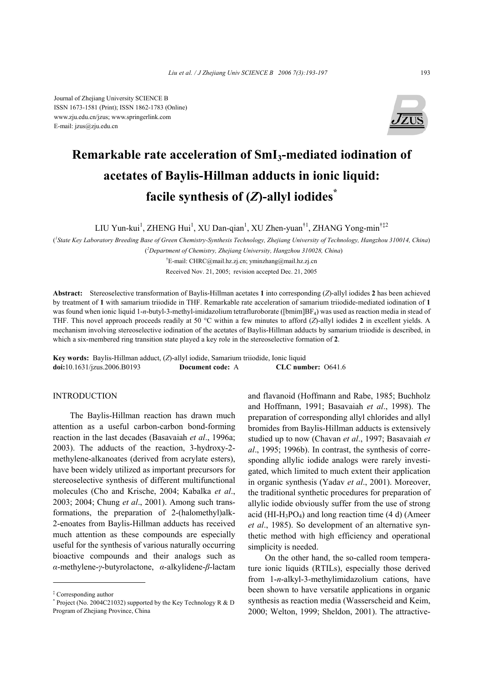

# **Remarkable rate acceleration of SmI3-mediated iodination of acetates of Baylis-Hillman adducts in ionic liquid: facile synthesis of (***Z***)-allyl iodides\***

LIU Yun-kui<sup>1</sup>, ZHENG Hui<sup>1</sup>, XU Dan-qian<sup>1</sup>, XU Zhen-yuan<sup>†1</sup>, ZHANG Yong-min<sup>†‡2</sup>

( *1 State Key Laboratory Breeding Base of Green Chemistry-Synthesis Technology, Zhejiang University of Technology, Hangzhou 310014, China*) ( *2 Department of Chemistry, Zhejiang University, Hangzhou 310028, China*)

> † E-mail: CHRC@mail.hz.zj.cn; yminzhang@mail.hz.zj.cn Received Nov. 21, 2005; revision accepted Dec. 21, 2005

**Abstract:** Stereoselective transformation of Baylis-Hillman acetates **1** into corresponding (*Z*)-allyl iodides **2** has been achieved by treatment of **1** with samarium triiodide in THF. Remarkable rate acceleration of samarium triiodide-mediated iodination of **1** was found when ionic liquid 1-*n*-butyl-3-methyl-imidazolium tetrafluroborate ([bmim]BF<sub>4</sub>) was used as reaction media in stead of THF. This novel approach proceeds readily at 50 °C within a few minutes to afford (*Z*)-allyl iodides **2** in excellent yields. A mechanism involving stereoselective iodination of the acetates of Baylis-Hillman adducts by samarium triiodide is described, in which a six-membered ring transition state played a key role in the stereoselective formation of **2**.

**Key words:** Baylis-Hillman adduct, (*Z*)-allyl iodide, Samarium triiodide, Ionic liquid **doi:**10.1631/jzus.2006.B0193 **Document code:** A **CLC number:** O641.6

## INTRODUCTION

The Baylis-Hillman reaction has drawn much attention as a useful carbon-carbon bond-forming reaction in the last decades (Basavaiah *et al*., 1996a; 2003). The adducts of the reaction, 3-hydroxy-2 methylene-alkanoates (derived from acrylate esters), have been widely utilized as important precursors for stereoselective synthesis of different multifunctional molecules (Cho and Krische, 2004; Kabalka *et al*., 2003; 2004; Chung *et al*., 2001). Among such transformations, the preparation of 2-(halomethyl)alk-2-enoates from Baylis-Hillman adducts has received much attention as these compounds are especially useful for the synthesis of various naturally occurring bioactive compounds and their analogs such as *α*-methylene-*γ*-butyrolactone, *α*-alkylidene-*β*-lactam

and flavanoid (Hoffmann and Rabe, 1985; Buchholz and Hoffmann, 1991; Basavaiah *et al*., 1998). The preparation of corresponding allyl chlorides and allyl bromides from Baylis-Hillman adducts is extensively studied up to now (Chavan *et al*., 1997; Basavaiah *et al*., 1995; 1996b). In contrast, the synthesis of corresponding allylic iodide analogs were rarely investigated, which limited to much extent their application in organic synthesis (Yadav *et al*., 2001). Moreover, the traditional synthetic procedures for preparation of allylic iodide obviously suffer from the use of strong acid (HI-H<sub>3</sub>PO<sub>4</sub>) and long reaction time  $(4 d)$  (Ameer *et al*., 1985). So development of an alternative synthetic method with high efficiency and operational simplicity is needed.

On the other hand, the so-called room temperature ionic liquids (RTILs), especially those derived from 1-*n*-alkyl-3-methylimidazolium cations, have been shown to have versatile applications in organic synthesis as reaction media (Wasserscheid and Keim, 2000; Welton, 1999; Sheldon, 2001). The attractive-

<sup>‡</sup> Corresponding author

<sup>\*</sup> Project (No. 2004C21032) supported by the Key Technology R & D Program of Zhejiang Province, China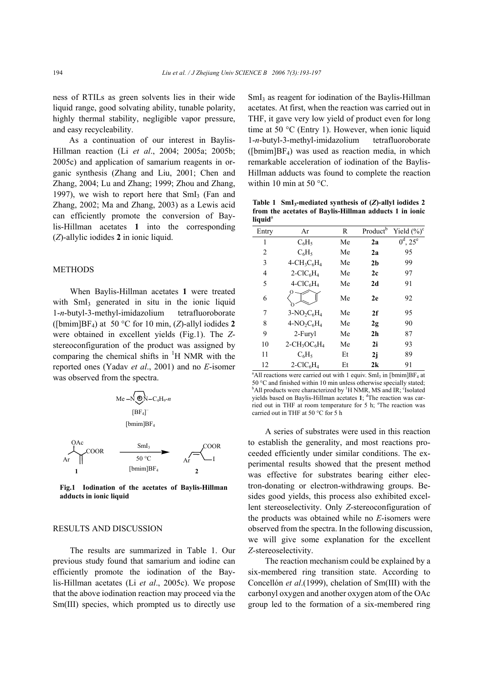ness of RTILs as green solvents lies in their wide liquid range, good solvating ability, tunable polarity, highly thermal stability, negligible vapor pressure, and easy recycleability.

As a continuation of our interest in Baylis-Hillman reaction (Li *et al*., 2004; 2005a; 2005b; 2005c) and application of samarium reagents in organic synthesis (Zhang and Liu, 2001; Chen and Zhang, 2004; Lu and Zhang; 1999; Zhou and Zhang, 1997), we wish to report here that  $SmI<sub>3</sub>$  (Fan and Zhang, 2002; Ma and Zhang, 2003) as a Lewis acid can efficiently promote the conversion of Baylis-Hillman acetates **1** into the corresponding (*Z*)-allylic iodides **2** in ionic liquid.

### METHODS

When Baylis-Hillman acetates **1** were treated with SmI<sub>3</sub> generated in situ in the ionic liquid 1-*n*-butyl-3-methyl-imidazolium tetrafluoroborate ([bmim]BF4) at 50 °C for 10 min, (*Z*)-allyl iodides **2** were obtained in excellent yields (Fig.1). The *Z*stereoconfiguration of the product was assigned by comparing the chemical shifts in  $H$  NMR with the reported ones (Yadav *et al*., 2001) and no *E*-isomer was observed from the spectra.

$$
Me - N \bigoplus_{[BF_4]} N - C_4 H_9 - n
$$
  
[BF<sub>4</sub>]  
[bmin]BF<sub>4</sub>



**Fig.1 Iodination of the acetates of Baylis-Hillman adducts in ionic liquid**

### RESULTS AND DISCUSSION

The results are summarized in Table 1. Our previous study found that samarium and iodine can efficiently promote the iodination of the Baylis-Hillman acetates (Li *et al*., 2005c). We propose that the above iodination reaction may proceed via the Sm(III) species, which prompted us to directly use

SmI<sub>3</sub> as reagent for iodination of the Baylis-Hillman acetates. At first, when the reaction was carried out in THF, it gave very low yield of product even for long time at 50 °C (Entry 1). However, when ionic liquid 1-*n*-butyl-3-methyl-imidazolium tetrafluoroborate  $(Ibmin|BF_4)$  was used as reaction media, in which remarkable acceleration of iodination of the Baylis-Hillman adducts was found to complete the reaction within 10 min at 50 °C.

**Table 1 SmI3-mediated synthesis of (***Z***)-allyl iodides 2 from the acetates of Baylis-Hillman adducts 1 in ionic**  liquid<sup>a</sup>

| Entry        | Ar                                                  | R  | Product <sup>b</sup> | Yield $(\%)^c$ |
|--------------|-----------------------------------------------------|----|----------------------|----------------|
| $\mathbf{1}$ | $C_6H_5$                                            | Me | 2a                   | $0^d$ , $25^e$ |
| 2            | $C_6H_5$                                            | Me | 2a                   | 95             |
| 3            | $4$ -CH <sub>3</sub> C <sub>6</sub> H <sub>4</sub>  | Me | 2 <sub>b</sub>       | 99             |
| 4            | $2$ -ClC <sub>6</sub> H <sub>4</sub>                | Me | 2c                   | 97             |
| 5            | $4-CIC6H4$                                          | Me | 2d                   | 91             |
| 6            |                                                     | Me | 2e                   | 92             |
| 7            | $3-NO_2C_6H_4$                                      | Me | 2f                   | 95             |
| 8            | $4-NO_2C_6H_4$                                      | Me | 2g                   | 90             |
| 9            | 2-Furyl                                             | Me | 2 <sub>h</sub>       | 87             |
| 10           | $2$ -CH <sub>3</sub> OC <sub>6</sub> H <sub>4</sub> | Me | 2i                   | 93             |
| 11           | $C_6H_5$                                            | Et | 2j                   | 89             |
| 12           | $2-CIC6H4$                                          | Et | 2k                   | 91             |

<sup>a</sup> All reactions were carried out with 1 equiv. SmI<sub>3</sub> in [bmim] $BF<sub>4</sub>$  at 50 °C and finished within 10 min unless otherwise specially stated; All products were characterized by <sup>1</sup>H NMR, MS and IR; <sup>c</sup>Isolated yields based on Baylis-Hillman acetates 1; <sup>d</sup>The reaction was carried out in THF at room temperature for 5 h; <sup>e</sup>The reaction was carried out in THF at 50 °C for 5 h

A series of substrates were used in this reaction to establish the generality, and most reactions proceeded efficiently under similar conditions. The experimental results showed that the present method was effective for substrates bearing either electron-donating or electron-withdrawing groups. Besides good yields, this process also exhibited excellent stereoselectivity. Only *Z*-stereoconfiguration of the products was obtained while no *E*-isomers were observed from the spectra. In the following discussion, we will give some explanation for the excellent *Z*-stereoselectivity.

The reaction mechanism could be explained by a six-membered ring transition state. According to Concellón *et al*.(1999), chelation of Sm(III) with the carbonyl oxygen and another oxygen atom of the OAc group led to the formation of a six-membered ring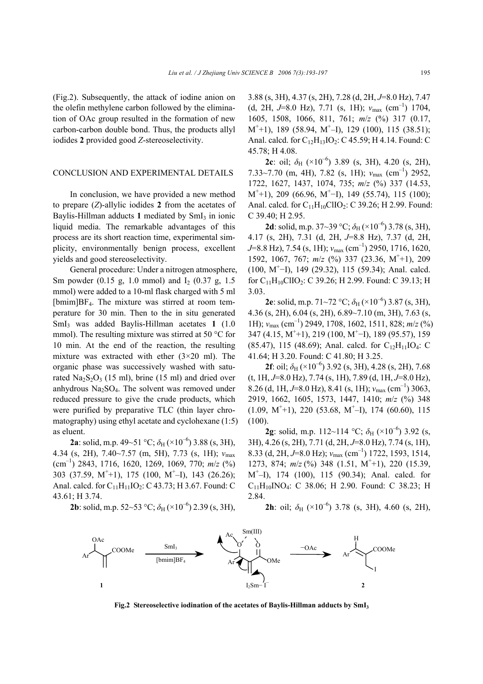(Fig.2). Subsequently, the attack of iodine anion on the olefin methylene carbon followed by the elimination of OAc group resulted in the formation of new carbon-carbon double bond. Thus, the products allyl iodides **2** provided good *Z*-stereoselectivity.

## CONCLUSION AND EXPERIMENTAL DETAILS

In conclusion, we have provided a new method to prepare (*Z*)-allylic iodides **2** from the acetates of Baylis-Hillman adducts 1 mediated by SmI<sub>3</sub> in ionic liquid media. The remarkable advantages of this process are its short reaction time, experimental simplicity, environmentally benign process, excellent yields and good stereoselectivity.

General procedure: Under a nitrogen atmosphere, Sm powder  $(0.15 \text{ g}, 1.0 \text{ mmol})$  and I<sub>2</sub>  $(0.37 \text{ g}, 1.5 \text{ m})$ mmol) were added to a 10-ml flask charged with 5 ml [bmim]BF4. The mixture was stirred at room temperature for 30 min. Then to the in situ generated SmI3 was added Baylis-Hillman acetates **1** (1.0 mmol). The resulting mixture was stirred at 50 °C for 10 min. At the end of the reaction, the resulting mixture was extracted with ether  $(3\times20$  ml). The organic phase was successively washed with saturated  $\text{Na}_2\text{S}_2\text{O}_3$  (15 ml), brine (15 ml) and dried over anhydrous  $Na<sub>2</sub>SO<sub>4</sub>$ . The solvent was removed under reduced pressure to give the crude products, which were purified by preparative TLC (thin layer chromatography) using ethyl acetate and cyclohexane (1:5) as eluent.

**2a**: solid, m.p. 49~51 °C;  $\delta_H$  (×10<sup>-6</sup>) 3.88 (s, 3H), 4.34 (s, 2H), 7.40~7.57 (m, 5H), 7.73 (s, 1H); *ν*max (cm–1) 2843, 1716, 1620, 1269, 1069, 770; *m*/*z* (%) 303 (37.59, M<sup>+</sup>+1), 175 (100, M<sup>+</sup>-I), 143 (26.26); Anal. calcd. for  $C_{11}H_{11}IO_2$ : C 43.73; H 3.67. Found: C 43.61; H 3.74.

3.88 (s, 3H), 4.37 (s, 2H), 7.28 (d, 2H, *J*=8.0 Hz), 7.47 (d, 2H,  $J=8.0$  Hz), 7.71 (s, 1H);  $v_{\text{max}}$  (cm<sup>-1</sup>) 1704, 1605, 1508, 1066, 811, 761; *m*/*z* (%) 317 (0.17,  $M^+$ +1), 189 (58.94,  $M^+$ –I), 129 (100), 115 (38.51); Anal. calcd. for  $C_{12}H_{13}IO_2$ : C 45.59; H 4.14. Found: C 45.78; H 4.08.

**2c**: oil;  $\delta_H$  (×10<sup>-6</sup>) 3.89 (s, 3H), 4.20 (s, 2H), 7.33~7.70 (m, 4H), 7.82 (s, 1H); *ν*max (cm–1) 2952, 1722, 1627, 1437, 1074, 735; *m*/*z* (%) 337 (14.53,  $M^+$ +1), 209 (66.96,  $M^+$ –I), 149 (55.74), 115 (100); Anal. calcd. for  $C_{11}H_{10}ClIO_2$ : C 39.26; H 2.99. Found: C 39.40; H 2.95.

**2d**: solid, m.p. 37~39 °C;  $\delta_H$  (×10<sup>-6</sup>) 3.78 (s, 3H), 4.17 (s, 2H), 7.31 (d, 2H, *J*=8.8 Hz), 7.37 (d, 2H, *J*=8.8 Hz), 7.54 (s, 1H); *ν*max (cm–1) 2950, 1716, 1620, 1592, 1067, 767;  $m/z$  (%) 337 (23.36, M<sup>+</sup>+1), 209  $(100, M<sup>+</sup>-I), 149 (29.32), 115 (59.34);$  Anal. calcd. for  $C_{11}H_{10}ClIO_2$ : C 39.26; H 2.99. Found: C 39.13; H 3.03.

**2e**: solid, m.p. 71~72 °C;  $\delta_H$  (×10<sup>-6</sup>) 3.87 (s, 3H), 4.36 (s, 2H), 6.04 (s, 2H), 6.89~7.10 (m, 3H), 7.63 (s, 1H); *ν*max (cm–1) 2949, 1708, 1602, 1511, 828; *m*/*z* (%) 347 (4.15, M<sup>+</sup>+1), 219 (100, M<sup>+</sup>−I), 189 (95.57), 159 (85.47), 115 (48.69); Anal. calcd. for  $C_{12}H_{11}IO_4$ : C 41.64; H 3.20. Found: C 41.80; H 3.25.

**2f**: oil;  $\delta_H$  (×10<sup>-6</sup>) 3.92 (s, 3H), 4.28 (s, 2H), 7.68 (t, 1H, *J*=8.0 Hz), 7.74 (s, 1H), 7.89 (d, 1H, *J*=8.0 Hz), 8.26 (d, 1H, *J*=8.0 Hz), 8.41 (s, 1H);  $v_{\text{max}}$  (cm<sup>-1</sup>) 3063, 2919, 1662, 1605, 1573, 1447, 1410; *m*/*z* (%) 348  $(1.09, M^+ + 1)$ , 220  $(53.68, M^+ - 1)$ , 174  $(60.60)$ , 115 (100).

**2g**: solid, m.p. 112~114 °C;  $\delta_H$  (×10<sup>-6</sup>) 3.92 (s, 3H), 4.26 (s, 2H), 7.71 (d, 2H, *J*=8.0 Hz), 7.74 (s, 1H), 8.33 (d, 2H, *J*=8.0 Hz);  $v_{\text{max}}$  (cm<sup>-1</sup>) 1722, 1593, 1514, 1273, 874;  $m/z$  (%) 348 (1.51, M<sup>+</sup>+1), 220 (15.39, M<sup>+</sup> –I), 174 (100), 115 (90.34); Anal. calcd. for  $C_{11}H_{10}INO_4$ : C 38.06; H 2.90. Found: C 38.23; H 2.84.

**2b**: solid, m.p. 52~53 °C;  $\delta_H$  (×10<sup>-6</sup>) 2.39 (s, 3H),

**2h**: oil;  $\delta_H$  (×10<sup>-6</sup>) 3.78 (s, 3H), 4.60 (s, 2H),



**Fig.2 Stereoselective iodination of the acetates of Baylis-Hillman adducts by SmI3**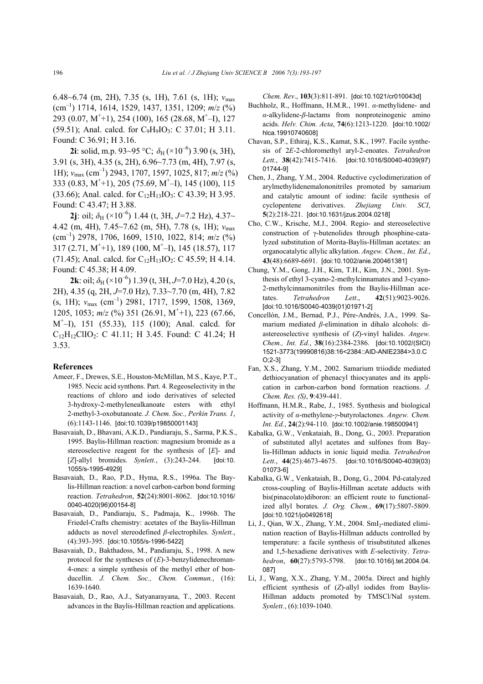6.48~6.74 (m, 2H), 7.35 (s, 1H), 7.61 (s, 1H); *ν*max (cm–1) 1714, 1614, 1529, 1437, 1351, 1209; *m*/*z* (%) 293 (0.07, M<sup>+</sup> +1), 254 (100), 165 (28.68, M<sup>+</sup> –I), 127  $(59.51)$ ; Anal. calcd. for C<sub>9</sub>H<sub>9</sub>IO<sub>3</sub>: C 37.01; H 3.11. Found: C 36.91; H 3.16.

**2i**: solid, m.p. 93~95 °C;  $\delta_H$  (×10<sup>-6</sup>) 3.90 (s, 3H), 3.91 (s, 3H), 4.35 (s, 2H), 6.96~7.73 (m, 4H), 7.97 (s, 1H); *ν*max (cm–1) 2943, 1707, 1597, 1025, 817; *m*/*z* (%) 333 (0.83, M<sup>+</sup> +1), 205 (75.69, M<sup>+</sup> –I), 145 (100), 115 (33.66); Anal. calcd. for  $C_{12}H_{13}IO_3$ : C 43.39; H 3.95. Found: C 43.47; H 3.88.

**2j**: oil;  $\delta_H$  (×10<sup>-6</sup>) 1.44 (t, 3H, J=7.2 Hz), 4.37~ 4.42 (m, 4H), 7.45~7.62 (m, 5H), 7.78 (s, 1H); *ν*max (cm–1) 2978, 1706, 1609, 1510, 1022, 814; *m*/*z* (%) 317 (2.71, M<sup>+</sup> +1), 189 (100, M<sup>+</sup> –I), 145 (18.57), 117 (71.45); Anal. calcd. for  $C_{12}H_{13}IO_2$ : C 45.59; H 4.14. Found: C 45.38; H 4.09.

**2k**: oil;  $\delta_H$  (×10<sup>-6</sup>) 1.39 (t, 3H, J=7.0 Hz), 4.20 (s, 2H), 4.35 (q, 2H, *J*=7.0 Hz), 7.33~7.70 (m, 4H), 7.82 (s, 1H); *ν*<sub>max</sub> (cm<sup>-1</sup>) 2981, 1717, 1599, 1508, 1369, 1205, 1053;  $m/z$  (%) 351 (26.91, M<sup>+</sup>+1), 223 (67.66, M<sup>+</sup> –I), 151 (55.33), 115 (100); Anal. calcd. for  $C_{12}H_{12}ClIO_2$ : C 41.11; H 3.45. Found: C 41.24; H 3.53.

#### **References**

- Ameer, F., Drewes, S.E., Houston-McMillan, M.S., Kaye, P.T., 1985. Necic acid synthons. Part. 4. Regeoselectivity in the reactions of chloro and iodo derivatives of selected 3-hydroxy-2-methylenealkanoate esters with ethyl 2-methyl-3-oxobutanoate. *J. Chem. Soc., Perkin Trans. 1*, (6):1143-1146. [doi:10.1039/p19850001143]
- Basavaiah, D., Bhavani, A.K.D., Pandiaraju, S., Sarma, P.K.S., 1995. Baylis-Hillman reaction: magnesium bromide as a stereoselective reagent for the synthesis of [*E*]- and [*Z*]-allyl bromides. *Synlett.*, (3):243-244. [doi:10. 1055/s-1995-4929]
- Basavaiah, D., Rao, P.D., Hyma, R.S., 1996a. The Baylis-Hillman reaction: a novel carbon-carbon bond forming reaction. *Tetrahedron*, **52**(24):8001-8062. [doi:10.1016/ 0040-4020(96)00154-8]
- Basavaiah, D., Pandiaraju, S., Padmaja, K., 1996b. The Friedel-Crafts chemistry: acetates of the Baylis-Hillman adducts as novel stereodefined *β*-electrophiles. *Synlett.*, (4):393-395. [doi:10.1055/s-1996-5422]
- Basavaiah, D., Bakthadoss, M., Pandiaraju, S., 1998. A new protocol for the syntheses of (*E*)-3-benzylidenechroman-4-ones: a simple synthesis of the methyl ether of bonducellin. *J. Chem. Soc., Chem. Commun.*, (16): 1639-1640.
- Basavaiah, D., Rao, A.J., Satyanarayana, T., 2003. Recent advances in the Baylis-Hillman reaction and applications.

*Chem. Rev*., **103**(3):811-891. [doi:10.1021/cr010043d]

- Buchholz, R., Hoffmann, H.M.R., 1991. *α*-methylidene- and *α*-alkylidene-*β*-lactams from nonproteinogenic amino acids. *Helv. Chim. Acta*, **74**(6):1213-1220. [doi:10.1002/ hlca.19910740608]
- Chavan, S.P., Ethiraj, K.S., Kamat, S.K., 1997. Facile synthesis of 2*E*-2-chloromethyl aryl-2-enoates. *Tetrahedron Lett.*, **38**(42):7415-7416. [doi:10.1016/S0040-4039(97) 01744-9]
- Chen, J., Zhang, Y.M., 2004. Reductive cyclodimerization of arylmethylidenemalononitriles promoted by samarium and catalytic amount of iodine: facile synthesis of cyclopentene derivatives. *Zhejiang Univ. SCI*, **5**(2):218-221. [doi:10.1631/jzus.2004.0218]
- Cho, C.W., Krische, M.J., 2004. Regio- and stereoselective construction of γ-butenolides through phosphine-catalyzed substitution of Morita-Baylis-Hillman acetates: an organocatalytic allylic alkylation. *Angew. Chem., Int. Ed.*, **43**(48):6689-6691. [doi:10.1002/anie.200461381]
- Chung, Y.M., Gong, J.H., Kim, T.H., Kim, J.N., 2001. Synthesis of ethyl 3-cyano-2-methylcinnamates and 3-cyano-2-methylcinnamonitriles from the Baylis-Hillman acetates. *Tetrahedron Lett*., **42**(51):9023-9026. [doi:10.1016/S0040-4039(01)01971-2]
- Concellón, J.M., Bernad, P.J., Pére-Andrés, J.A., 1999. Samarium mediated *β*-elimination in dihalo alcohols: diastereoselective synthesis of (*Z*)-vinyl halides. *Angew. Chem., Int. Ed.*, **38**(16):2384-2386. [doi:10.1002/(SICI) 1521-3773(19990816)38:16<2384::AID-ANIE2384>3.0.C O;2-3]
- Fan, X.S., Zhang, Y.M., 2002. Samarium triiodide mediated dethiocyanation of phenacyl thiocyanates and its application in carbon-carbon bond formation reactions. *J. Chem. Res. (S)*, **9**:439-441.
- Hoffmann, H.M.R., Rabe, J., 1985. Synthesis and biological activity of *α*-methylene-*γ*-butyrolactones. *Angew. Chem. Int. Ed.*, **24**(2):94-110. [doi:10.1002/anie.198500941]
- Kabalka, G.W., Venkataiah, B., Dong, G., 2003. Preparation of substituted allyl acetates and sulfones from Baylis-Hillman adducts in ionic liquid media. *Tetrahedron Lett.*, **44**(25):4673-4675. [doi:10.1016/S0040-4039(03) 01073-6]
- Kabalka, G.W., Venkataiah, B., Dong, G., 2004. Pd-catalyzed cross-coupling of Baylis-Hillman acetate adducts with bis(pinacolato)diboron: an efficient route to functionalized allyl borates. *J. Org. Chem.*, **69**(17):5807-5809. [doi:10.1021/jo0492618]
- Li, J., Qian, W.X., Zhang, Y.M., 2004. SmI<sub>2</sub>-mediated elimination reaction of Baylis-Hillman adducts controlled by temperature: a facile synthesis of trisubstituted alkenes and 1,5-hexadiene derivatives with *E*-selectivity. *Tetrahedron*, **60**(27):5793-5798. [doi:10.1016/j.tet.2004.04. 087]
- Li, J., Wang, X.X., Zhang, Y.M., 2005a. Direct and highly efficient synthesis of (*Z*)-allyl iodides from Baylis-Hillman adducts promoted by TMSCl/NaI system. *Synlett.*, (6):1039-1040.